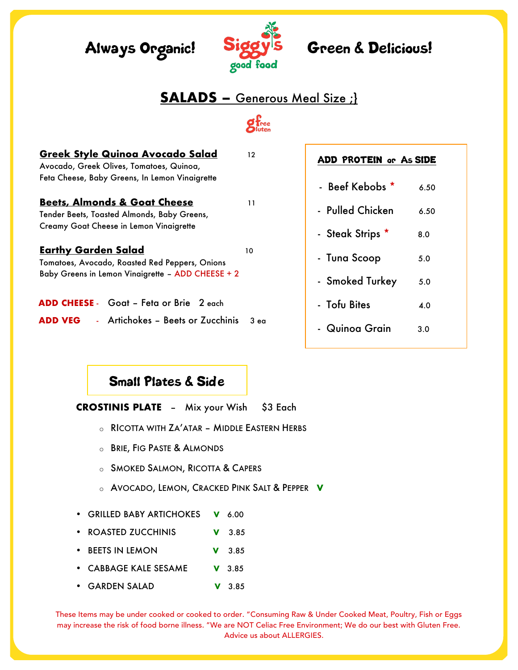# Always Organic! Siggy's Green & Delicious!



# **SALADS –** Generous Meal Size ;}

 $g_{\text{free}}^{\text{f}}$ 

| <u>Greek Style Quinoa Avocado Salad</u><br>Avocado, Greek Olives, Tomatoes, Quinoa, | $12 \overline{ }$ | ADD     |
|-------------------------------------------------------------------------------------|-------------------|---------|
| Feta Cheese, Baby Greens, In Lemon Vinaigrette                                      |                   | - Beef  |
| <b>Beets, Almonds &amp; Goat Cheese</b>                                             | 11                |         |
| Tender Beets, Toasted Almonds, Baby Greens,                                         |                   | - Pulle |
| Creamy Goat Cheese in Lemon Vinaigrette                                             |                   | - Steak |
| <b>Earthy Garden Salad</b>                                                          | 10                |         |
| Tomatoes, Avocado, Roasted Red Peppers, Onions                                      |                   | - Tuna  |
| Baby Greens in Lemon Vinaigrette - ADD CHEESE + 2                                   |                   | - Smok  |
| ADD CHEESE - Goat - Feta or Brie 2 each                                             |                   | - Tofu  |
| <b>ADD VEG</b> - Artichokes - Beets or Zucchinis                                    | 3 <sub>ea</sub>   |         |

### ROTEIN or As SIDE

| - Beef Kebobs *  | 6.50 |
|------------------|------|
|                  |      |
| - Pulled Chicken | 6.50 |
| - Steak Strips * | 8.0  |
| - Tuna Scoop     | 5.0  |
| - Smoked Turkey  | 5.0  |
| - Tofu Bites     | 4.0  |
| Quinoa Grain     | 3.0  |

# Small Plates & Side

**CROSTINIS PLATE** – Mix your Wish \$3 Each

- o RICOTTA WITH ZA'ATAR MIDDLE EASTERN HERBS
- o BRIE, FIG PASTE & ALMONDS
- o SMOKED SALMON, RICOTTA & CAPERS
- o AVOCADO, LEMON, CRACKED PINK SALT & PEPPER **V**
- GRILLED BABY ARTICHOKES **V** 6.00
- ROASTED ZUCCHINIS **V** 3.85
- BEETS IN LEMON **V** 3.85
- CABBAGE KALE SESAME **V** 3.85
- GARDEN SALAD **V** 3.85

These Items may be under cooked or cooked to order. "Consuming Raw & Under Cooked Meat, Poultry, Fish or Eggs may increase the risk of food borne illness. "We are NOT Celiac Free Environment; We do our best with Gluten Free. Advice us about ALLERGIES.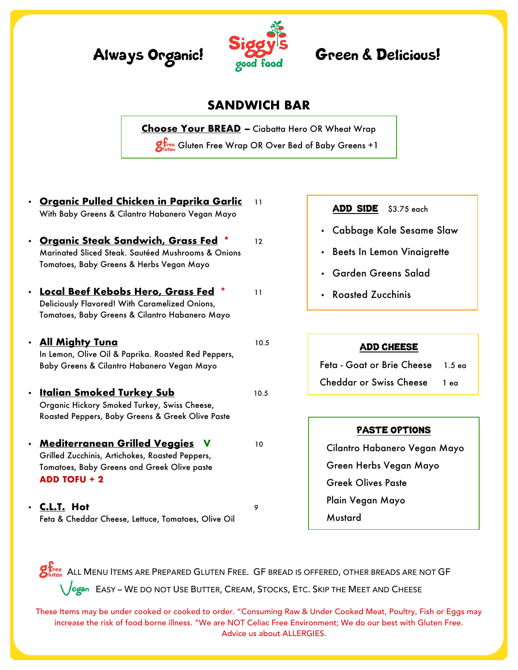



## **SANDWICH BAR**

**Choose Your BREAD –** Ciabatta Hero OR Wheat Wrap **givee** Gluten Free Wrap OR Over Bed of Baby Greens +1

• **Organic Pulled Chicken in Paprika Garlic** 11 With Baby Greens & Cilantro Habanero Vegan Mayo

- **Organic Steak Sandwich, Grass Fed** \* 12 Marinated Sliced Steak. Sautéed Mushrooms & Onions Tomatoes, Baby Greens & Herbs Vegan Mayo
- **Local Beef Kebobs Hero, Grass Fed** \* 11 Deliciously Flavored! With Caramelized Onions, Tomatoes, Baby Greens & Cilantro Habanero Mayo
- **All Mighty Tung** 10.5 In Lemon, Olive Oil & Paprika. Roasted Red Peppers, Baby Greens & Cilantro Habanero Vegan Mayo
- **Italian Smoked Turkey Sub** 10.5 Organic Hickory Smoked Turkey, Swiss Cheese, Roasted Peppers, Baby Greens & Greek Olive Paste
- **Mediterranean Grilled Veggies V** 10 Grilled Zucchinis, Artichokes, Roasted Peppers, Tomatoes, Baby Greens and Greek Olive paste **ADD TOFU + 2**
- **C.L.T. Hot** 9 Feta & Cheddar Cheese, Lettuce, Tomatoes, Olive Oil

#### ADD SIDE \$3.75 each

- Cabbage Kale Sesame Slaw
- Beets In Lemon Vinaigrette
- Garden Greens Salad
- Roasted Zucchinis

#### ADD CHEESE

 Feta - Goat or Brie Cheese 1.5 ea Cheddar or Swiss Cheese 1 ea

#### PASTE OPTIONS

Cilantro Habanero Vegan Mayo Green Herbs Vegan Mayo Greek Olives Paste Plain Vegan Mayo **Mustard** 

 $\mathcal{G}^{\mathbf{f}_{\text{free}}}_{\text{Iutten}}$  ALL Menu Items are Prepared Gluten Free. GF bread is offered, other breads are not GF Legan – Easy – We do not Use Butter, Cream, Stocks, Etc. Skip the Meet and Cheese

These Items may be under cooked or cooked to order. "Consuming Raw & Under Cooked Meat, Poultry, Fish or Eggs may increase the risk of food borne illness. "We are NOT Celiac Free Environment; We do our best with Gluten Free. Advice us about ALLERGIES.